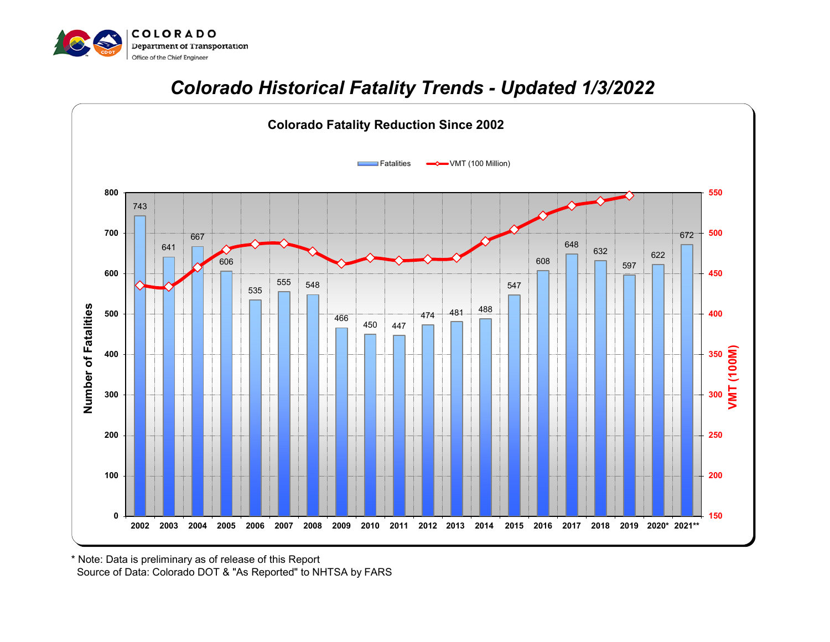

## *Colorado Historical Fatality Trends - Updated 1/3/2022*



\* Note: Data is preliminary as of release of this Report

Source of Data: Colorado DOT & "As Reported" to NHTSA by FARS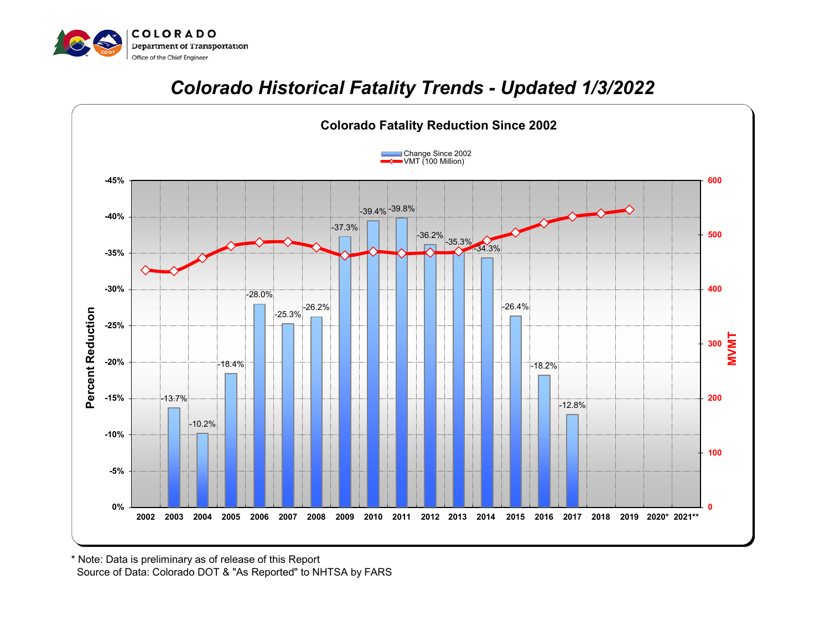

## *Colorado Historical Fatality Trends - Updated 1/3/2022*



 Source of Data: Colorado DOT & "As Reported" to NHTSA by FARS \* Note: Data is preliminary as of release of this Report